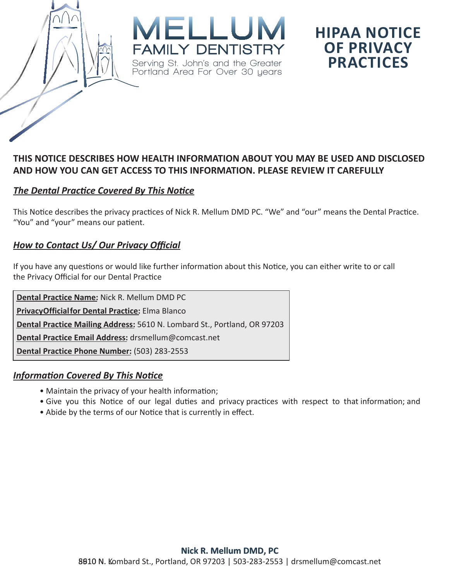

## **HIPAA NOTICE OF PRIVACY PRACTICES**

#### **THIS NOTICE DESCRIBES HOW HEALTH INFORMATION ABOUT YOU MAY BE USED AND DISCLOSED AND HOW YOU CAN GET ACCESS TO THIS INFORMATION. PLEASE REVIEW IT CAREFULLY**

#### *The Dental Practice Covered By This Notice*

This Notice describes the privacy practices of Nick R. Mellum DMD PC. "We" and "our" means the Dental Practice. "You" and "your" means our patient.

#### *How to Contact Us/ Our Privacy Official*

If you have any questions or would like further information about this Notice, you can either write to or call the Privacy Official for our Dental Practice

**Dental Practice Name:** Nick R. Mellum DMD PC **Privacy Official for Dental Practice:** Elma Blanco **Dental Practice Mailing Address:** 5610 N. Lombard St., Portland, OR 97203 **Dental Practice Email Address:** drsmellum@comcast.net **Dental Practice Phone Number:** (503) 283-2553

#### *Information Covered By This Notice*

- Maintain the privacy of your health information;
- Give you this Notice of our legal duties and privacy practices with respect to that information; and
- Abide by the terms of our Notice that is currently in effect.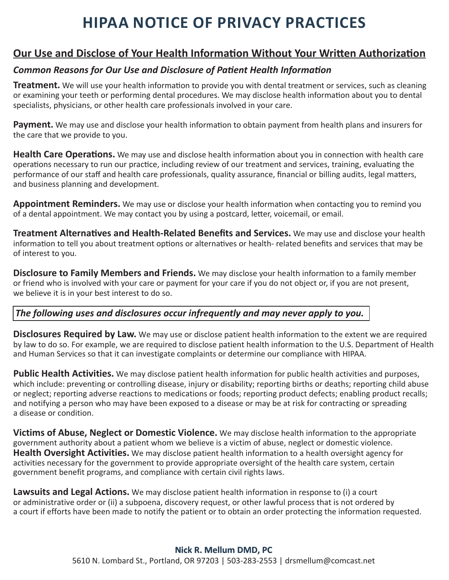# **HIPAA NOTICE OF PRIVACY PRACTICES**

### **Our Use and Disclose of Your Health Information Without Your Written Authorization**

#### *Common Reasons for Our Use and Disclosure of Patient Health Information*

**Treatment.** We will use your health information to provide you with dental treatment or services, such as cleaning or examining your teeth or performing dental procedures. We may disclose health information about you to dental specialists, physicians, or other health care professionals involved in your care.

**Payment.** We may use and disclose your health information to obtain payment from health plans and insurers for the care that we provide to you.

**Health Care Operations.** We may use and disclose health information about you in connection with health care operations necessary to run our practice, including review of our treatment and services, training, evaluating the performance of our staff and health care professionals, quality assurance, financial or billing audits, legal matters, and business planning and development.

**Appointment Reminders.** We may use or disclose your health information when contacting you to remind you of a dental appointment. We may contact you by using a postcard, letter, voicemail, or email.

**Treatment Alternatives and Health-Related Benefits and Services.** We may use and disclose your health information to tell you about treatment options or alternatives or health- related benefits and services that may be of interest to you.

**Disclosure to Family Members and Friends.** We may disclose your health information to a family member or friend who is involved with your care or payment for your care if you do not object or, if you are not present, we believe it is in your best interest to do so.

#### *The following uses and disclosures occur infrequently and may never apply to you.*

**Disclosures Required by Law.** We may use or disclose patient health information to the extent we are required by law to do so. For example, we are required to disclose patient health information to the U.S. Department of Health and Human Services so that it can investigate complaints or determine our compliance with HIPAA.

**Public Health Activities.** We may disclose patient health information for public health activities and purposes, which include: preventing or controlling disease, injury or disability; reporting births or deaths; reporting child abuse or neglect; reporting adverse reactions to medications or foods; reporting product defects; enabling product recalls; and notifying a person who may have been exposed to a disease or may be at risk for contracting or spreading a disease or condition.

**Victims of Abuse, Neglect or Domestic Violence.** We may disclose health information to the appropriate government authority about a patient whom we believe is a victim of abuse, neglect or domestic violence. **Health Oversight Activities.** We may disclose patient health information to a health oversight agency for activities necessary for the government to provide appropriate oversight of the health care system, certain government benefit programs, and compliance with certain civil rights laws.

**Lawsuits and Legal Actions.** We may disclose patient health information in response to (i) a court or administrative order or (ii) a subpoena, discovery request, or other lawful process that is not ordered by a court if efforts have been made to notify the patient or to obtain an order protecting the information requested.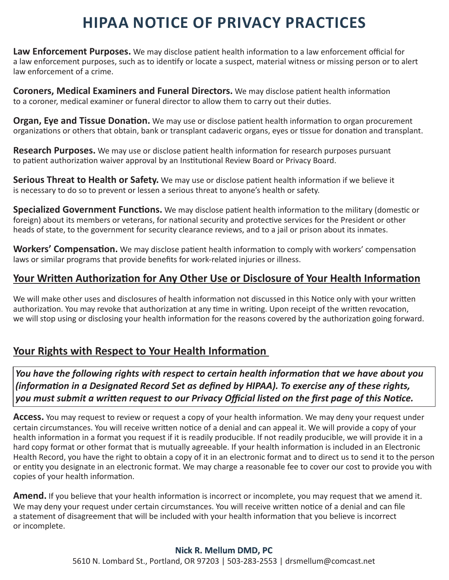# **HIPAA NOTICE OF PRIVACY PRACTICES**

**Law Enforcement Purposes.** We may disclose patient health information to a law enforcement official for a law enforcement purposes, such as to identify or locate a suspect, material witness or missing person or to alert law enforcement of a crime.

**Coroners, Medical Examiners and Funeral Directors.** We may disclose patient health information to a coroner, medical examiner or funeral director to allow them to carry out their duties.

**Organ, Eye and Tissue Donation.** We may use or disclose patient health information to organ procurement organizations or others that obtain, bank or transplant cadaveric organs, eyes or tissue for donation and transplant.

**Research Purposes.** We may use or disclose patient health information for research purposes pursuant to patient authorization waiver approval by an Institutional Review Board or Privacy Board.

**Serious Threat to Health or Safety.** We may use or disclose patient health information if we believe it is necessary to do so to prevent or lessen a serious threat to anyone's health or safety.

**Specialized Government Functions.** We may disclose patient health information to the military (domestic or foreign) about its members or veterans, for national security and protective services for the President or other heads of state, to the government for security clearance reviews, and to a jail or prison about its inmates.

**Workers' Compensation.** We may disclose patient health information to comply with workers' compensation laws or similar programs that provide benefits for work-related injuries or illness.

## **Your Written Authorization for Any Other Use or Disclosure of Your Health Information**

We will make other uses and disclosures of health information not discussed in this Notice only with your written authorization. You may revoke that authorization at any time in writing. Upon receipt of the written revocation, we will stop using or disclosing your health information for the reasons covered by the authorization going forward.

## **Your Rights with Respect to Your Health Information**

*You have the following rights with respect to certain health information that we have about you (information in a Designated Record Set as defined by HIPAA). To exercise any of these rights, you must submit a written request to our Privacy Official listed on the first page of this Notice.*

**Access.** You may request to review or request a copy of your health information. We may deny your request under certain circumstances. You will receive written notice of a denial and can appeal it. We will provide a copy of your health information in a format you request if it is readily producible. If not readily producible, we will provide it in a hard copy format or other format that is mutually agreeable. If your health information is included in an Electronic Health Record, you have the right to obtain a copy of it in an electronic format and to direct us to send it to the person or entity you designate in an electronic format. We may charge a reasonable fee to cover our cost to provide you with copies of your health information.

**Amend.** If you believe that your health information is incorrect or incomplete, you may request that we amend it. We may deny your request under certain circumstances. You will receive written notice of a denial and can file a statement of disagreement that will be included with your health information that you believe is incorrect or incomplete.

#### **Nick R. Mellum DMD, PC** 5610 N. Lombard St., Portland, OR 97203 | 503-283-2553 | drsmellum@comcast.net